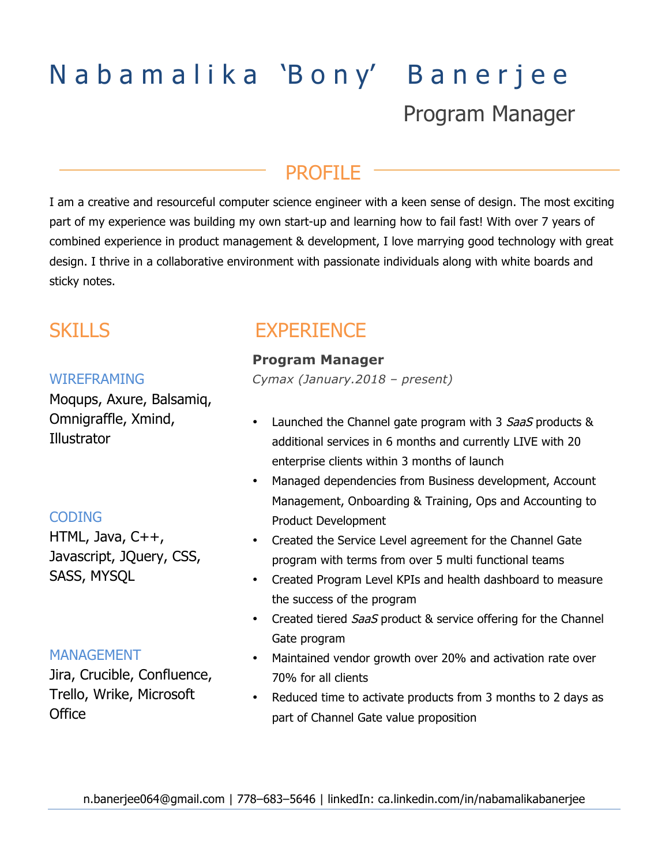# Nabamalika 'Bony' Banerjee Program Manager

# PROFILE

I am a creative and resourceful computer science engineer with a keen sense of design. The most exciting part of my experience was building my own start-up and learning how to fail fast! With over 7 years of combined experience in product management & development, I love marrying good technology with great design. I thrive in a collaborative environment with passionate individuals along with white boards and sticky notes.

# **SKILLS**

#### WIREFRAMING

Moqups, Axure, Balsamiq, Omnigraffle, Xmind, Illustrator

### CODING

HTML, Java, C++, Javascript, JQuery, CSS, SASS, MYSQL

## MANAGEMENT

Jira, Crucible, Confluence, Trello, Wrike, Microsoft **Office** 

# **EXPERIENCE**

### **Program Manager**

*Cymax (January.2018 – present)* 

- Launched the Channel gate program with 3 SaaS products & additional services in 6 months and currently LIVE with 20 enterprise clients within 3 months of launch
- Managed dependencies from Business development, Account Management, Onboarding & Training, Ops and Accounting to Product Development
- Created the Service Level agreement for the Channel Gate program with terms from over 5 multi functional teams
- Created Program Level KPIs and health dashboard to measure the success of the program
- Created tiered SaaS product & service offering for the Channel Gate program
- Maintained vendor growth over 20% and activation rate over 70% for all clients
- Reduced time to activate products from 3 months to 2 days as part of Channel Gate value proposition

n.banerjee064@gmail.com | 778–683–5646 | linkedIn: ca.linkedin.com/in/nabamalikabanerjee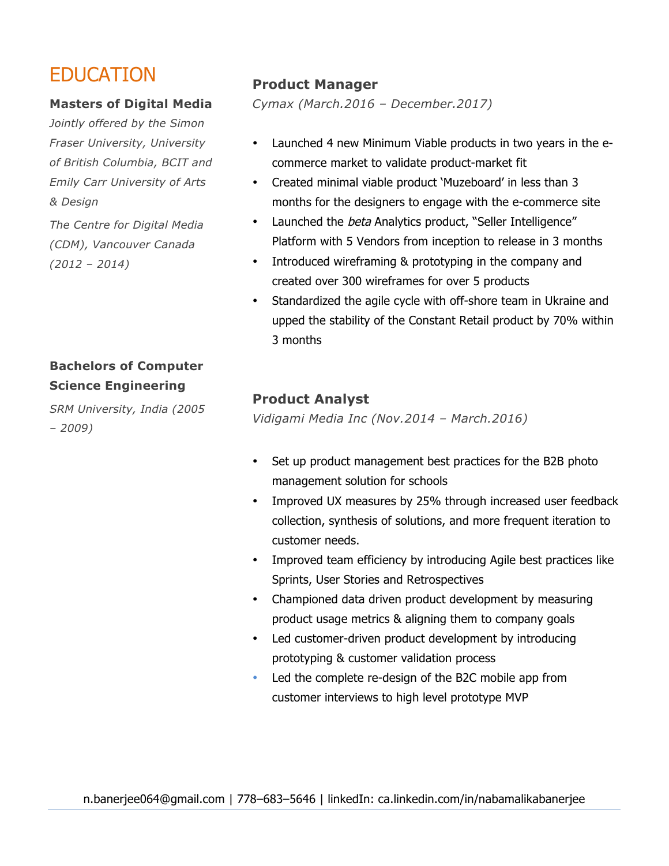# EDUCATION

#### **Masters of Digital Media**

*Jointly offered by the Simon Fraser University, University of British Columbia, BCIT and Emily Carr University of Arts & Design*

*The Centre for Digital Media (CDM), Vancouver Canada (2012 – 2014)* 

# **Bachelors of Computer Science Engineering**

*SRM University, India (2005 – 2009)* 

# **Product Manager**

*Cymax (March.2016 – December.2017)*

- Launched 4 new Minimum Viable products in two years in the ecommerce market to validate product-market fit
- Created minimal viable product 'Muzeboard' in less than 3 months for the designers to engage with the e-commerce site
- Launched the beta Analytics product, "Seller Intelligence" Platform with 5 Vendors from inception to release in 3 months
- Introduced wireframing & prototyping in the company and created over 300 wireframes for over 5 products
- Standardized the agile cycle with off-shore team in Ukraine and upped the stability of the Constant Retail product by 70% within 3 months

# **Product Analyst**

*Vidigami Media Inc (Nov.2014 – March.2016)* 

- Set up product management best practices for the B2B photo management solution for schools
- Improved UX measures by 25% through increased user feedback collection, synthesis of solutions, and more frequent iteration to customer needs.
- Improved team efficiency by introducing Agile best practices like Sprints, User Stories and Retrospectives
- Championed data driven product development by measuring product usage metrics & aligning them to company goals
- Led customer-driven product development by introducing prototyping & customer validation process
- Led the complete re-design of the B2C mobile app from customer interviews to high level prototype MVP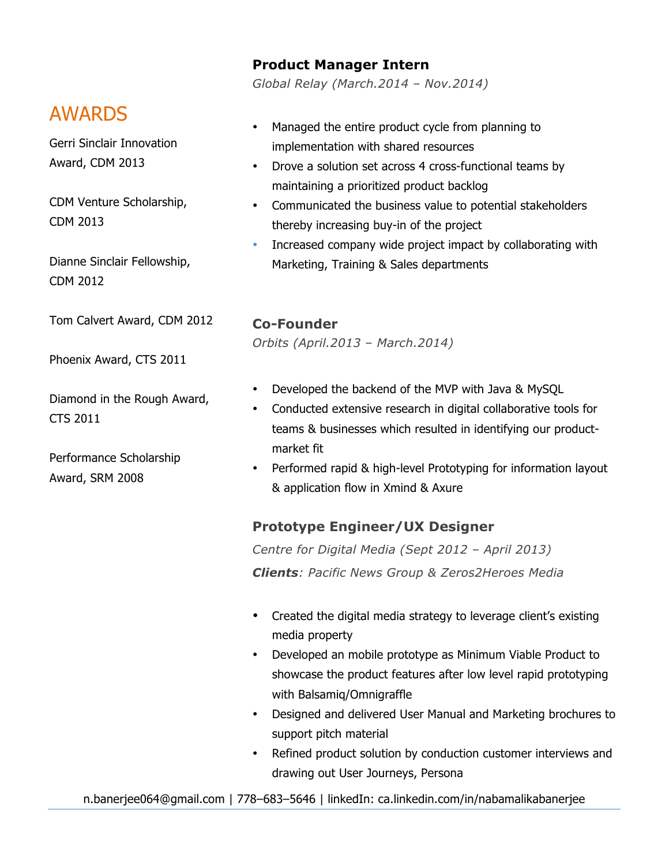### **Product Manager Intern**

*Global Relay (March.2014 – Nov.2014)* 

# AWARDS

Gerri Sinclair Innovation Award, CDM 2013

CDM Venture Scholarship, CDM 2013

Dianne Sinclair Fellowship, CDM 2012

Tom Calvert Award, CDM 2012

Phoenix Award, CTS 2011

Diamond in the Rough Award, CTS 2011

Performance Scholarship Award, SRM 2008

- Managed the entire product cycle from planning to implementation with shared resources
- Drove a solution set across 4 cross-functional teams by maintaining a prioritized product backlog
- Communicated the business value to potential stakeholders thereby increasing buy-in of the project
- Increased company wide project impact by collaborating with Marketing, Training & Sales departments

### **Co-Founder**

*Orbits (April.2013 – March.2014)*

- Developed the backend of the MVP with Java & MySQL
- Conducted extensive research in digital collaborative tools for teams & businesses which resulted in identifying our productmarket fit
- Performed rapid & high-level Prototyping for information layout & application flow in Xmind & Axure

## **Prototype Engineer/UX Designer**

*Centre for Digital Media (Sept 2012 – April 2013) Clients: Pacific News Group & Zeros2Heroes Media*

- Created the digital media strategy to leverage client's existing media property
- Developed an mobile prototype as Minimum Viable Product to showcase the product features after low level rapid prototyping with Balsamiq/Omnigraffle
- Designed and delivered User Manual and Marketing brochures to support pitch material
- Refined product solution by conduction customer interviews and drawing out User Journeys, Persona

n.banerjee064@gmail.com | 778–683–5646 | linkedIn: ca.linkedin.com/in/nabamalikabanerjee